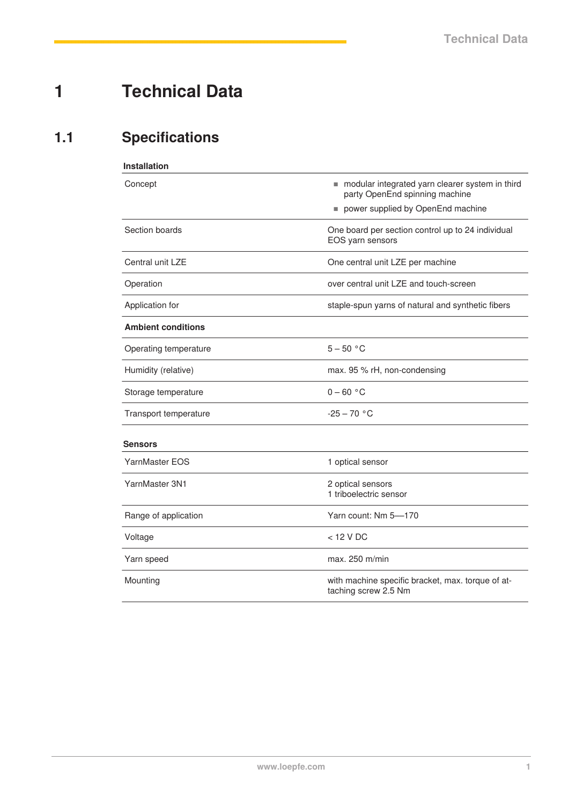## **1 Technical Data**

## **1.1 Specifications**

| <b>Installation</b>       |                                                                                     |
|---------------------------|-------------------------------------------------------------------------------------|
| Concept                   | ■ modular integrated yarn clearer system in third<br>party OpenEnd spinning machine |
|                           | power supplied by OpenEnd machine                                                   |
| Section boards            | One board per section control up to 24 individual<br>EOS yarn sensors               |
| Central unit LZE          | One central unit LZE per machine                                                    |
| Operation                 | over central unit LZE and touch-screen                                              |
| Application for           | staple-spun yarns of natural and synthetic fibers                                   |
| <b>Ambient conditions</b> |                                                                                     |
| Operating temperature     | $5 - 50 °C$                                                                         |
| Humidity (relative)       | max. 95 % rH, non-condensing                                                        |
| Storage temperature       | $0 - 60 °C$                                                                         |
| Transport temperature     | $-25 - 70 °C$                                                                       |
| <b>Sensors</b>            |                                                                                     |
| YarnMaster EOS            | 1 optical sensor                                                                    |
| YarnMaster 3N1            | 2 optical sensors<br>1 triboelectric sensor                                         |
| Range of application      | Yarn count: Nm 5-170                                                                |
| Voltage                   | $<$ 12 V DC                                                                         |
| Yarn speed                | max. 250 m/min                                                                      |
| Mounting                  | with machine specific bracket, max. torque of at-<br>taching screw 2.5 Nm           |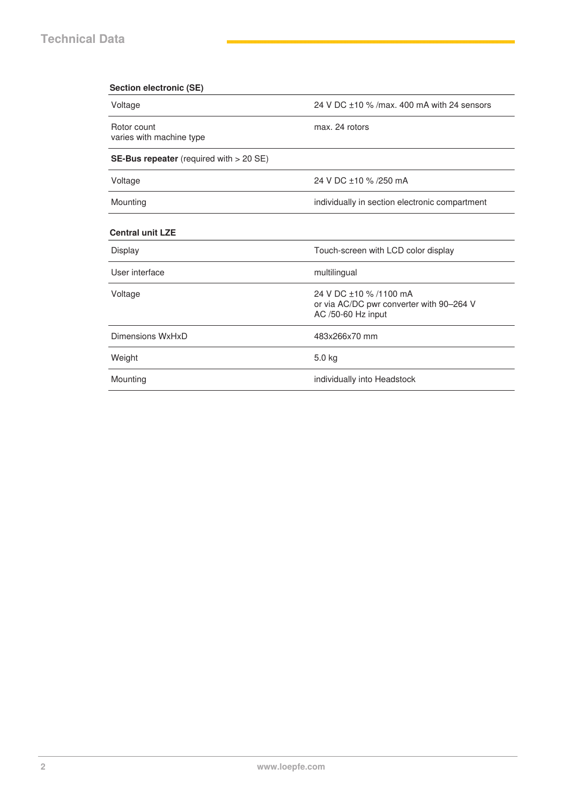| <b>Section electronic (SE)</b>                   |                                                                                          |
|--------------------------------------------------|------------------------------------------------------------------------------------------|
| Voltage                                          | 24 V DC +10 % / max, 400 mA with 24 sensors                                              |
| Rotor count<br>varies with machine type          | max. 24 rotors                                                                           |
| <b>SE-Bus repeater</b> (required with $> 20$ SE) |                                                                                          |
| Voltage                                          | 24 V DC +10 % /250 mA                                                                    |
| Mounting                                         | individually in section electronic compartment                                           |
| <b>Central unit LZE</b>                          |                                                                                          |
| Display                                          | Touch-screen with LCD color display                                                      |
| User interface                                   | multilingual                                                                             |
| Voltage                                          | 24 V DC +10 % /1100 mA<br>or via AC/DC pwr converter with 90-264 V<br>AC /50-60 Hz input |
| Dimensions WxHxD                                 | 483x266x70 mm                                                                            |
| Weight                                           | 5.0 kg                                                                                   |
| Mounting                                         | individually into Headstock                                                              |
|                                                  |                                                                                          |